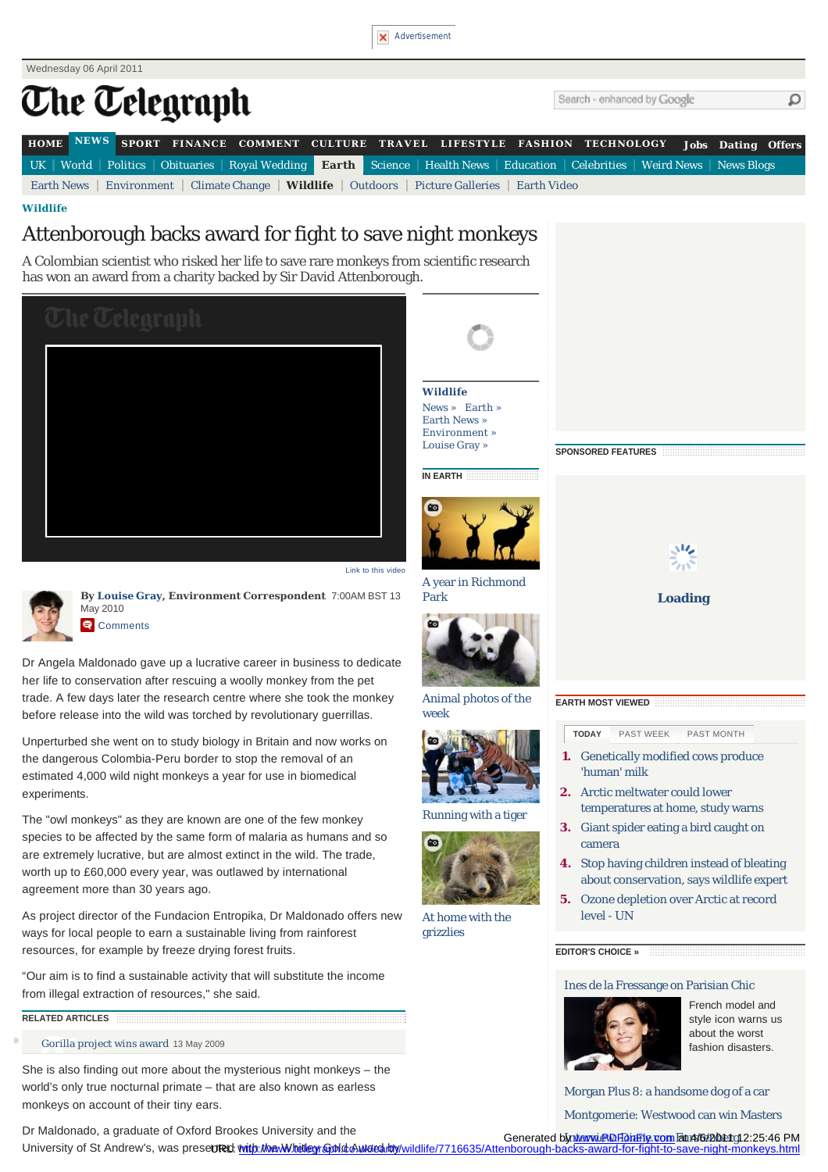



"Our aim is to find a sustainable activity that will substitute the income from illegal extraction of resources," she said.

## **RELATED ARTICLES**

[Gorilla project wins award](http://www.telegraph.co.uk/earth/earthnews/5320435/BBC-TV-vet-wins-award-from-Attenborough-backed-nature-charity.html) 13 May 2009

She is also finding out more about the mysterious night monkeys – the world's only true nocturnal primate – that are also known as earless monkeys on account of their tiny ears.

Dr Maldonado, a graduate of Oxford Brookes University and the

[Morgan Plus 8: a handsome dog of a car](http://www.telegraph.co.uk/motoring/classiccars/8431636/Classic-Morgan-Plus-8.html) [Montgomerie: Westwood can win Masters](http://www.telegraph.co.uk/sport/golf/mastersaugusta/8429636/The-Masters-2011-Colin-Montgomerie-expects-his-Ryder-Cup-heroes-to-challenge-for-glory-at-Augusta.html)

[Ines de la Fressange on Parisian Chic](http://fashion.telegraph.co.uk/news-features/TMG8430596/Ines-de-la-Fressange-on-Parisian-Chic.html)

French model and style icon warns us about the worst fashion disasters.

Generated by www.PDFDiaFly.com Fat 4/6/2011 12:25:46 PM

University of St Andrew's, was prese**ured <u>with the Whitley Gold Award a</u>ndy**/wildlife/7716635/Attenborough-backs-award-for-fight-to-save-night-monkeys.html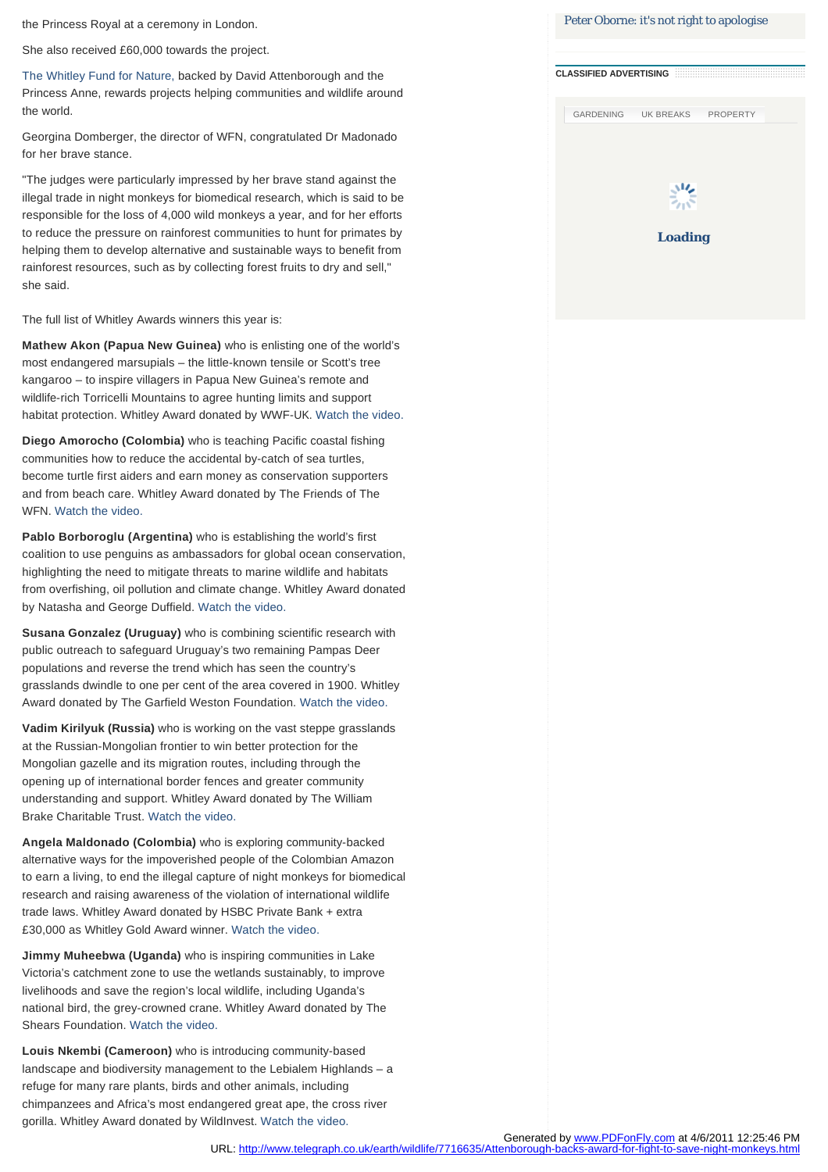the Princess Royal at a ceremony in London.

She also received £60,000 towards the project.

[The Whitley Fund for Nature,](http://www.telegraph.co.uk/earth/wildlife/7716635/A%20Colombian%20scientist%20who%20risked%20her%20life%20to%20save%20rare%20monkeys%20from%20scientific%20research%20has%20won%20an%20award%20from%20a%20charity%20backed%20by%20David%20Attenborough.) backed by David Attenborough and the Princess Anne, rewards projects helping communities and wildlife around the world.

Georgina Domberger, the director of WFN, congratulated Dr Madonado for her brave stance.

"The judges were particularly impressed by her brave stand against the illegal trade in night monkeys for biomedical research, which is said to be responsible for the loss of 4,000 wild monkeys a year, and for her efforts to reduce the pressure on rainforest communities to hunt for primates by helping them to develop alternative and sustainable ways to benefit from rainforest resources, such as by collecting forest fruits to dry and sell," she said.

The full list of Whitley Awards winners this year is:

**Mathew Akon (Papua New Guinea)** who is enlisting one of the world's most endangered marsupials – the little-known tensile or Scott's tree kangaroo – to inspire villagers in Papua New Guinea's remote and wildlife-rich Torricelli Mountains to agree hunting limits and support habitat protection. Whitley Award donated by WWF-UK. [Watch the video.](http://www.telegraph.co.uk/telegraphtv/7715594/Mathew-Akon-wins-Whitley-Award.html)

**Diego Amorocho (Colombia)** who is teaching Pacific coastal fishing communities how to reduce the accidental by-catch of sea turtles, become turtle first aiders and earn money as conservation supporters and from beach care. Whitley Award donated by The Friends of The WFN. [Watch the video.](http://www.telegraph.co.uk/telegraphtv/7715595/Diego-Amorocho-wins-Whitley-Award.html)

**Pablo Borboroglu (Argentina)** who is establishing the world's first coalition to use penguins as ambassadors for global ocean conservation, highlighting the need to mitigate threats to marine wildlife and habitats from overfishing, oil pollution and climate change. Whitley Award donated by Natasha and George Duffield. [Watch the video.](http://www.telegraph.co.uk/telegraphtv/7715596/Pablo-Borboroglu-wins-Whitley-Award.html)

**Susana Gonzalez (Uruguay)** who is combining scientific research with public outreach to safeguard Uruguay's two remaining Pampas Deer populations and reverse the trend which has seen the country's grasslands dwindle to one per cent of the area covered in 1900. Whitley Award donated by The Garfield Weston Foundation. [Watch the video.](http://www.telegraph.co.uk/telegraphtv/7715591/Susana-Gonzalez-wins-Whitley-Award.html)

**Vadim Kirilyuk (Russia)** who is working on the vast steppe grasslands at the Russian-Mongolian frontier to win better protection for the Mongolian gazelle and its migration routes, including through the opening up of international border fences and greater community understanding and support. Whitley Award donated by The William Brake Charitable Trust. [Watch the video.](http://www.telegraph.co.uk/telegraphtv/7715593/Vadim-Kirilyuk-wins-Whitley-Award.html)

**Angela Maldonado (Colombia)** who is exploring community-backed alternative ways for the impoverished people of the Colombian Amazon to earn a living, to end the illegal capture of night monkeys for biomedical research and raising awareness of the violation of international wildlife trade laws. Whitley Award donated by HSBC Private Bank + extra £30,000 as Whitley Gold Award winner. [Watch the video.](http://www.telegraph.co.uk/telegraphtv/7715592/Angela-Maldonado-wins-Whitley-Award.html)

**Jimmy Muheebwa (Uganda)** who is inspiring communities in Lake Victoria's catchment zone to use the wetlands sustainably, to improve livelihoods and save the region's local wildlife, including Uganda's national bird, the grey-crowned crane. Whitley Award donated by The Shears Foundation. [Watch the video.](http://www.telegraph.co.uk/telegraphtv/7715650/Jimmy-Muheebwa-wins-Whitley-Award.html)

**Louis Nkembi (Cameroon)** who is introducing community-based landscape and biodiversity management to the Lebialem Highlands – a refuge for many rare plants, birds and other animals, including chimpanzees and Africa's most endangered great ape, the cross river gorilla. Whitley Award donated by WildInvest. [Watch the video.](http://www.telegraph.co.uk/telegraphtv/7715597/Louis-Nkembi-wins-Whitley-Award.html)

|                               | Peter Oborne: it's not right to apologise |                 |  |
|-------------------------------|-------------------------------------------|-----------------|--|
|                               |                                           |                 |  |
| <b>CLASSIFIED ADVERTISING</b> |                                           |                 |  |
|                               |                                           |                 |  |
|                               | GARDENING UK BREAKS                       | <b>PROPERTY</b> |  |
|                               |                                           |                 |  |
|                               |                                           |                 |  |
|                               |                                           |                 |  |
|                               |                                           |                 |  |
|                               |                                           |                 |  |
|                               | Loading                                   |                 |  |
|                               |                                           |                 |  |
|                               |                                           |                 |  |